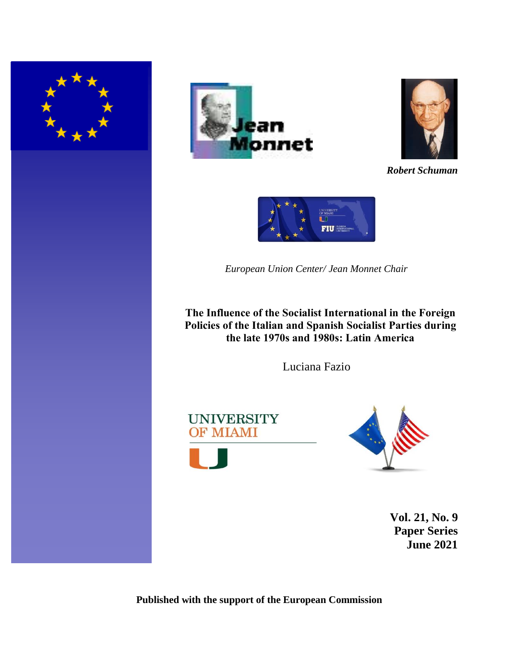





*Robert Schuman*



*European Union Center/ Jean Monnet Chair*

**The Influence of the Socialist International in the Foreign Policies of the Italian and Spanish Socialist Parties during the late 1970s and 1980s: Latin America**

Luciana Fazio







**Vol. 21, No. 9 Paper Series June 2021**

**Published with the support of the European Commission**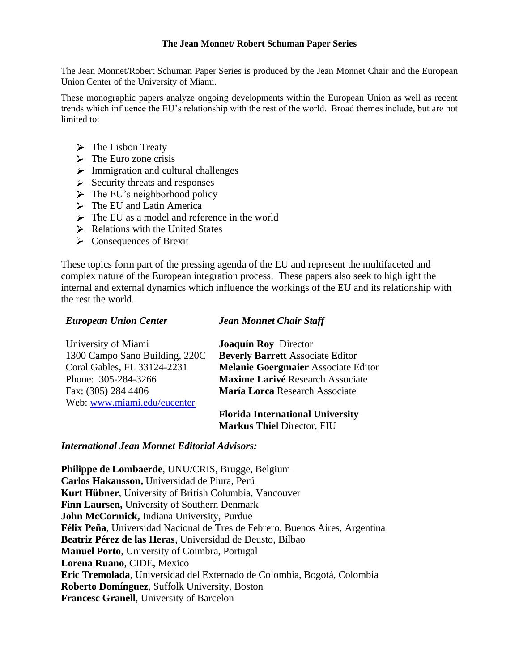### **The Jean Monnet/ Robert Schuman Paper Series**

The Jean Monnet/Robert Schuman Paper Series is produced by the Jean Monnet Chair and the European Union Center of the University of Miami.

These monographic papers analyze ongoing developments within the European Union as well as recent trends which influence the EU's relationship with the rest of the world. Broad themes include, but are not limited to:

- $\triangleright$  The Lisbon Treaty
- $\triangleright$  The Euro zone crisis
- $\triangleright$  Immigration and cultural challenges
- $\triangleright$  Security threats and responses
- $\triangleright$  The EU's neighborhood policy
- > The EU and Latin America
- $\triangleright$  The EU as a model and reference in the world
- $\triangleright$  Relations with the United States
- Consequences of Brexit

These topics form part of the pressing agenda of the EU and represent the multifaceted and complex nature of the European integration process. These papers also seek to highlight the internal and external dynamics which influence the workings of the EU and its relationship with the rest the world.

## *European Union Center*

## *Jean Monnet Chair Staff*

| University of Miami            | <b>Joaquín Roy Director</b>                |
|--------------------------------|--------------------------------------------|
| 1300 Campo Sano Building, 220C | <b>Beverly Barrett Associate Editor</b>    |
| Coral Gables, FL 33124-2231    | <b>Melanie Goergmaier Associate Editor</b> |
| Phone: 305-284-3266            | Maxime Larivé Research Associate           |
| Fax: (305) 284 4406            | María Lorca Research Associate             |
| Web: www.miami.edu/eucenter    |                                            |
|                                |                                            |

**Florida International University Markus Thiel** Director, FIU

## *International Jean Monnet Editorial Advisors:*

**Philippe de Lombaerde**, UNU/CRIS, Brugge, Belgium **Carlos Hakansson,** Universidad de Piura, Perú **Kurt Hübner**, University of British Columbia, Vancouver **Finn Laursen,** University of Southern Denmark **John McCormick,** Indiana University, Purdue **Félix Peña**, Universidad Nacional de Tres de Febrero, Buenos Aires, Argentina **Beatriz Pérez de las Heras**, Universidad de Deusto, Bilbao **Manuel Porto**, University of Coimbra, Portugal **Lorena Ruano**, CIDE, Mexico **Eric Tremolada**, Universidad del Externado de Colombia, Bogotá, Colombia **Roberto Domínguez**, Suffolk University, Boston **Francesc Granell**, University of Barcelon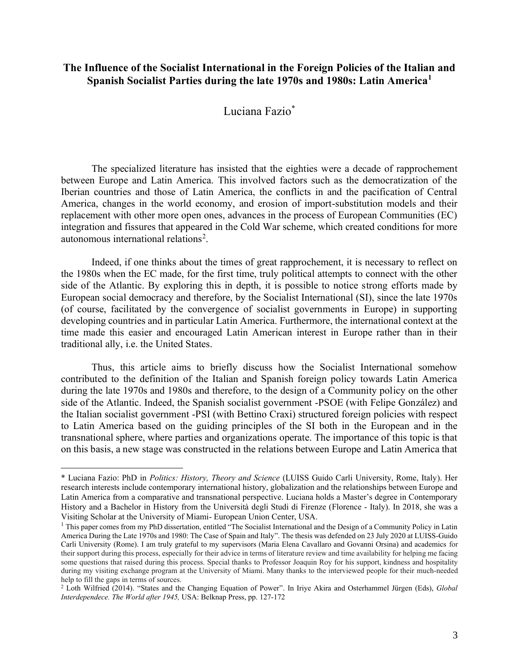## **The Influence of the Socialist International in the Foreign Policies of the Italian and Spanish Socialist Parties during the late 1970s and 1980s: Latin America<sup>1</sup>**

# Luciana Fazio\*

The specialized literature has insisted that the eighties were a decade of rapprochement between Europe and Latin America. This involved factors such as the democratization of the Iberian countries and those of Latin America, the conflicts in and the pacification of Central America, changes in the world economy, and erosion of import-substitution models and their replacement with other more open ones, advances in the process of European Communities (EC) integration and fissures that appeared in the Cold War scheme, which created conditions for more autonomous international relations<sup>2</sup>.

Indeed, if one thinks about the times of great rapprochement, it is necessary to reflect on the 1980s when the EC made, for the first time, truly political attempts to connect with the other side of the Atlantic. By exploring this in depth, it is possible to notice strong efforts made by European social democracy and therefore, by the Socialist International (SI), since the late 1970s (of course, facilitated by the convergence of socialist governments in Europe) in supporting developing countries and in particular Latin America. Furthermore, the international context at the time made this easier and encouraged Latin American interest in Europe rather than in their traditional ally, i.e. the United States.

Thus, this article aims to briefly discuss how the Socialist International somehow contributed to the definition of the Italian and Spanish foreign policy towards Latin America during the late 1970s and 1980s and therefore, to the design of a Community policy on the other side of the Atlantic. Indeed, the Spanish socialist government -PSOE (with Felipe González) and the Italian socialist government -PSI (with Bettino Craxi) structured foreign policies with respect to Latin America based on the guiding principles of the SI both in the European and in the transnational sphere, where parties and organizations operate. The importance of this topic is that on this basis, a new stage was constructed in the relations between Europe and Latin America that

<sup>\*</sup> Luciana Fazio: PhD in *Politics: History, Theory and Science* (LUISS Guido Carli University, Rome, Italy). Her research interests include contemporary international history, globalization and the relationships between Europe and Latin America from a comparative and transnational perspective. Luciana holds a Master's degree in Contemporary History and a Bachelor in History from the Università degli Studi di Firenze (Florence - Italy). In 2018, she was a Visiting Scholar at the University of Miami- European Union Center, USA.

<sup>&</sup>lt;sup>1</sup> This paper comes from my PhD dissertation, entitled "The Socialist International and the Design of a Community Policy in Latin America During the Late 1970s and 1980: The Case of Spain and Italy". The thesis was defended on 23 July 2020 at LUISS-Guido Carli University (Rome). I am truly grateful to my supervisors (Maria Elena Cavallaro and Govanni Orsina) and academics for their support during this process, especially for their advice in terms of literature review and time availability for helping me facing some questions that raised during this process. Special thanks to Professor Joaquin Roy for his support, kindness and hospitality during my visiting exchange program at the University of Miami. Many thanks to the interviewed people for their much-needed help to fill the gaps in terms of sources.

<sup>2</sup> Loth Wilfried (2014). "States and the Changing Equation of Power". In Iriye Akira and Osterhammel Jürgen (Eds), *Global Interdependece. The World after 1945,* USA: Belknap Press, pp. 127-172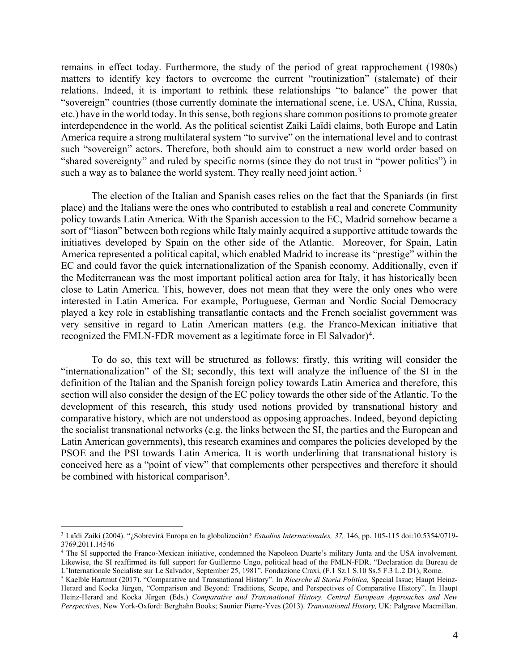remains in effect today. Furthermore, the study of the period of great rapprochement (1980s) matters to identify key factors to overcome the current "routinization" (stalemate) of their relations. Indeed, it is important to rethink these relationships "to balance" the power that "sovereign" countries (those currently dominate the international scene, i.e. USA, China, Russia, etc.) have in the world today. In this sense, both regions share common positions to promote greater interdependence in the world. As the political scientist Zaiki Laïdi claims, both Europe and Latin America require a strong multilateral system "to survive" on the international level and to contrast such "sovereign" actors. Therefore, both should aim to construct a new world order based on "shared sovereignty" and ruled by specific norms (since they do not trust in "power politics") in such a way as to balance the world system. They really need joint action.<sup>3</sup>

The election of the Italian and Spanish cases relies on the fact that the Spaniards (in first place) and the Italians were the ones who contributed to establish a real and concrete Community policy towards Latin America. With the Spanish accession to the EC, Madrid somehow became a sort of "liason" between both regions while Italy mainly acquired a supportive attitude towards the initiatives developed by Spain on the other side of the Atlantic. Moreover, for Spain, Latin America represented a political capital, which enabled Madrid to increase its "prestige" within the EC and could favor the quick internationalization of the Spanish economy. Additionally, even if the Mediterranean was the most important political action area for Italy, it has historically been close to Latin America. This, however, does not mean that they were the only ones who were interested in Latin America. For example, Portuguese, German and Nordic Social Democracy played a key role in establishing transatlantic contacts and the French socialist government was very sensitive in regard to Latin American matters (e.g. the Franco-Mexican initiative that recognized the FMLN-FDR movement as a legitimate force in El Salvador)<sup>4</sup>.

To do so, this text will be structured as follows: firstly, this writing will consider the "internationalization" of the SI; secondly, this text will analyze the influence of the SI in the definition of the Italian and the Spanish foreign policy towards Latin America and therefore, this section will also consider the design of the EC policy towards the other side of the Atlantic. To the development of this research, this study used notions provided by transnational history and comparative history, which are not understood as opposing approaches. Indeed, beyond depicting the socialist transnational networks (e.g. the links between the SI, the parties and the European and Latin American governments), this research examines and compares the policies developed by the PSOE and the PSI towards Latin America. It is worth underlining that transnational history is conceived here as a "point of view" that complements other perspectives and therefore it should be combined with historical comparison<sup>5</sup>.

<sup>3</sup> Laïdi Zaiki (2004). "¿Sobrevirá Europa en la globalización? *Estudios Internacionales, 37,* 146, pp. 105-115 doi:10.5354/0719- 3769.2011.14546

<sup>4</sup> The SI supported the Franco-Mexican initiative, condemned the Napoleon Duarte's military Junta and the USA involvement. Likewise, the SI reaffirmed its full support for Guillermo Ungo, political head of the FMLN-FDR. "Declaration du Bureau de L'Internationale Socialiste sur Le Salvador, September 25, 1981". Fondazione Craxi, (F.1 Sz.1 S.10 Ss.5 F.3 L.2 D1), Rome.

<sup>5</sup> Kaelble Hartmut (2017). "Comparative and Transnational History". In *Ricerche di Storia Politica,* Special Issue; Haupt Heinz-Herard and Kocka Jürgen, "Comparison and Beyond: Traditions, Scope, and Perspectives of Comparative History". In Haupt Heinz-Herard and Kocka Jürgen (Eds.) *Comparative and Transnational History. Central European Approaches and New Perspectives,* New York-Oxford: Berghahn Books; Saunier Pierre-Yves (2013). *Transnational History,* UK: Palgrave Macmillan.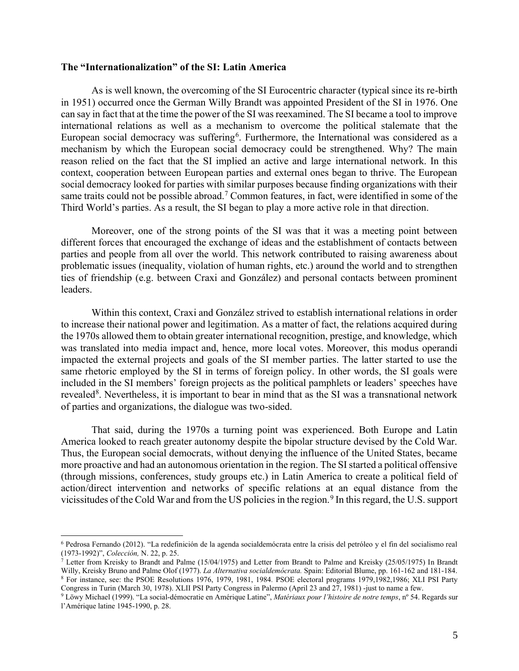### **The "Internationalization" of the SI: Latin America**

As is well known, the overcoming of the SI Eurocentric character (typical since its re-birth in 1951) occurred once the German Willy Brandt was appointed President of the SI in 1976. One can say in fact that at the time the power of the SI was reexamined. The SI became a tool to improve international relations as well as a mechanism to overcome the political stalemate that the European social democracy was suffering<sup>6</sup>. Furthermore, the International was considered as a mechanism by which the European social democracy could be strengthened. Why? The main reason relied on the fact that the SI implied an active and large international network. In this context, cooperation between European parties and external ones began to thrive. The European social democracy looked for parties with similar purposes because finding organizations with their same traits could not be possible abroad.<sup>7</sup> Common features, in fact, were identified in some of the Third World's parties. As a result, the SI began to play a more active role in that direction.

Moreover, one of the strong points of the SI was that it was a meeting point between different forces that encouraged the exchange of ideas and the establishment of contacts between parties and people from all over the world. This network contributed to raising awareness about problematic issues (inequality, violation of human rights, etc.) around the world and to strengthen ties of friendship (e.g. between Craxi and González) and personal contacts between prominent leaders.

Within this context, Craxi and González strived to establish international relations in order to increase their national power and legitimation. As a matter of fact, the relations acquired during the 1970s allowed them to obtain greater international recognition, prestige, and knowledge, which was translated into media impact and, hence, more local votes. Moreover, this modus operandi impacted the external projects and goals of the SI member parties. The latter started to use the same rhetoric employed by the SI in terms of foreign policy. In other words, the SI goals were included in the SI members' foreign projects as the political pamphlets or leaders' speeches have revealed<sup>8</sup>. Nevertheless, it is important to bear in mind that as the SI was a transnational network of parties and organizations, the dialogue was two-sided.

That said, during the 1970s a turning point was experienced. Both Europe and Latin America looked to reach greater autonomy despite the bipolar structure devised by the Cold War. Thus, the European social democrats, without denying the influence of the United States, became more proactive and had an autonomous orientation in the region. The SI started a political offensive (through missions, conferences, study groups etc.) in Latin America to create a political field of action/direct intervention and networks of specific relations at an equal distance from the vicissitudes of the Cold War and from the US policies in the region.<sup>9</sup> In this regard, the U.S. support

<sup>6</sup> Pedrosa Fernando (2012). "La redefinición de la agenda socialdemócrata entre la crisis del petróleo y el fin del socialismo real (1973-1992)", *Colección,* N. 22, p. 25.

<sup>7</sup> Letter from Kreisky to Brandt and Palme (15/04/1975) and Letter from Brandt to Palme and Kreisky (25/05/1975) In Brandt Willy, Kreisky Bruno and Palme Olof (1977). *La Alternativa socialdemócrata.* Spain: Editorial Blume, pp. 161-162 and 181-184. <sup>8</sup> For instance, see: the PSOE Resolutions 1976, 1979, 1981, 1984*.* PSOE electoral programs 1979,1982,1986; XLI PSI Party

Congress in Turin (March 30, 1978). XLII PSI Party Congress in Palermo (April 23 and 27, 1981) -just to name a few.

<sup>9</sup> Löwy Michael (1999). "La social-démocratie en Amérique Latine", *Matériaux pour l'histoire de notre temps*, nº 54. Regards sur l'Amérique latine 1945-1990, p. 28.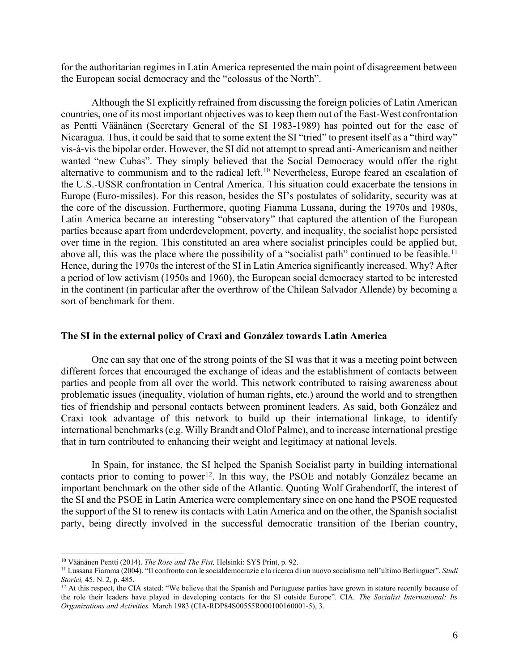for the authoritarian regimes in Latin America represented the main point of disagreement between the European social democracy and the "colossus of the North".

Although the SI explicitly refrained from discussing the foreign policies of Latin American countries, one of its most important objectives was to keep them out of the East-West confrontation as Pentti Väänänen (Secretary General of the SI 1983-1989) has pointed out for the case of Nicaragua. Thus, it could be said that to some extent the SI "tried" to present itself as a "third way" vis-à-vis the bipolar order. However, the SI did not attempt to spread anti-Americanism and neither wanted "new Cubas". They simply believed that the Social Democracy would offer the right alternative to communism and to the radical left.<sup>10</sup> Nevertheless, Europe feared an escalation of the U.S.-USSR confrontation in Central America. This situation could exacerbate the tensions in Europe (Euro-missiles). For this reason, besides the SI's postulates of solidarity, security was at the core of the discussion. Furthermore, quoting Fiamma Lussana, during the 1970s and 1980s, Latin America became an interesting "observatory" that captured the attention of the European parties because apart from underdevelopment, poverty, and inequality, the socialist hope persisted over time in the region. This constituted an area where socialist principles could be applied but, above all, this was the place where the possibility of a "socialist path" continued to be feasible.<sup>11</sup> Hence, during the 1970s the interest of the SI in Latin America significantly increased. Why? After a period of low activism (1950s and 1960), the European social democracy started to be interested in the continent (in particular after the overthrow of the Chilean Salvador Allende) by becoming a sort of benchmark for them.

#### **The SI in the external policy of Craxi and González towards Latin America**

One can say that one of the strong points of the SI was that it was a meeting point between different forces that encouraged the exchange of ideas and the establishment of contacts between parties and people from all over the world. This network contributed to raising awareness about problematic issues (inequality, violation of human rights, etc.) around the world and to strengthen ties of friendship and personal contacts between prominent leaders. As said, both González and Craxi took advantage of this network to build up their international linkage, to identify international benchmarks (e.g. Willy Brandt and Olof Palme), and to increase international prestige that in turn contributed to enhancing their weight and legitimacy at national levels.

In Spain, for instance, the SI helped the Spanish Socialist party in building international contacts prior to coming to power<sup>12</sup>. In this way, the PSOE and notably González became an important benchmark on the other side of the Atlantic. Quoting Wolf Grabendorff, the interest of the SI and the PSOE in Latin America were complementary since on one hand the PSOE requested the support of the SI to renew its contacts with Latin America and on the other, the Spanish socialist party, being directly involved in the successful democratic transition of the Iberian country,

<sup>10</sup> Väänänen Pentti (2014). *The Rose and The Fist,* Helsinki: SYS Print, p. 92.

<sup>11</sup> Lussana Fiamma (2004). "Il confronto con le socialdemocrazie e la ricerca di un nuovo socialismo nell'ultimo Berlinguer". *Studi Storici,* 45. N. 2, p. 485.

<sup>&</sup>lt;sup>12</sup> At this respect, the CIA stated: "We believe that the Spanish and Portuguese parties have grown in stature recently because of the role their leaders have played in developing contacts for the SI outside Europe". CIA. *The Socialist International: Its Organizations and Activities.* March 1983 (CIA-RDP84S00555R000100160001-5), 3.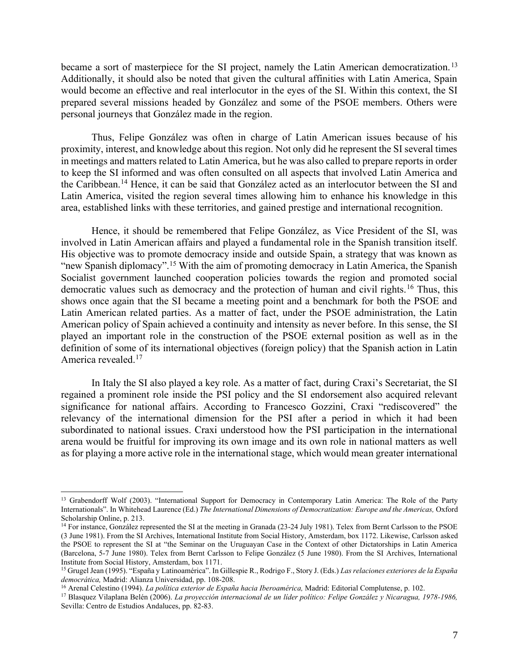became a sort of masterpiece for the SI project, namely the Latin American democratization.<sup>13</sup> Additionally, it should also be noted that given the cultural affinities with Latin America, Spain would become an effective and real interlocutor in the eyes of the SI. Within this context, the SI prepared several missions headed by González and some of the PSOE members. Others were personal journeys that González made in the region.

Thus, Felipe González was often in charge of Latin American issues because of his proximity, interest, and knowledge about this region. Not only did he represent the SI several times in meetings and matters related to Latin America, but he was also called to prepare reports in order to keep the SI informed and was often consulted on all aspects that involved Latin America and the Caribbean.<sup>14</sup> Hence, it can be said that González acted as an interlocutor between the SI and Latin America, visited the region several times allowing him to enhance his knowledge in this area, established links with these territories, and gained prestige and international recognition.

Hence, it should be remembered that Felipe González, as Vice President of the SI, was involved in Latin American affairs and played a fundamental role in the Spanish transition itself. His objective was to promote democracy inside and outside Spain, a strategy that was known as "new Spanish diplomacy".<sup>15</sup> With the aim of promoting democracy in Latin America, the Spanish Socialist government launched cooperation policies towards the region and promoted social democratic values such as democracy and the protection of human and civil rights.<sup>16</sup> Thus, this shows once again that the SI became a meeting point and a benchmark for both the PSOE and Latin American related parties. As a matter of fact, under the PSOE administration, the Latin American policy of Spain achieved a continuity and intensity as never before. In this sense, the SI played an important role in the construction of the PSOE external position as well as in the definition of some of its international objectives (foreign policy) that the Spanish action in Latin America revealed.<sup>17</sup>

In Italy the SI also played a key role. As a matter of fact, during Craxi's Secretariat, the SI regained a prominent role inside the PSI policy and the SI endorsement also acquired relevant significance for national affairs. According to Francesco Gozzini, Craxi "rediscovered" the relevancy of the international dimension for the PSI after a period in which it had been subordinated to national issues. Craxi understood how the PSI participation in the international arena would be fruitful for improving its own image and its own role in national matters as well as for playing a more active role in the international stage, which would mean greater international

<sup>&</sup>lt;sup>13</sup> Grabendorff Wolf (2003). "International Support for Democracy in Contemporary Latin America: The Role of the Party Internationals". In Whitehead Laurence (Ed.) *The International Dimensions of Democratization: Europe and the Americas,* Oxford Scholarship Online, p. 213.

<sup>&</sup>lt;sup>14</sup> For instance, González represented the SI at the meeting in Granada (23-24 July 1981). Telex from Bernt Carlsson to the PSOE (3 June 1981). From the SI Archives, International Institute from Social History, Amsterdam, box 1172. Likewise, Carlsson asked the PSOE to represent the SI at "the Seminar on the Uruguayan Case in the Context of other Dictatorships in Latin America (Barcelona, 5-7 June 1980). Telex from Bernt Carlsson to Felipe González (5 June 1980). From the SI Archives, International Institute from Social History, Amsterdam, box 1171.

<sup>15</sup> Grugel Jean (1995). "España y Latinoamérica". In Gillespie R., Rodrigo F., Story J. (Eds.) *Las relaciones exteriores de la España democrática,* Madrid: Alianza Universidad, pp. 108-208.

<sup>16</sup> Arenal Celestino (1994). *La política exterior de España hacia Iberoamérica,* Madrid: Editorial Complutense, p. 102.

<sup>17</sup> Blasquez Vilaplana Belén (2006). *La proyección internacional de un líder político: Felipe González y Nicaragua, 1978-1986,*  Sevilla: Centro de Estudios Andaluces, pp. 82-83.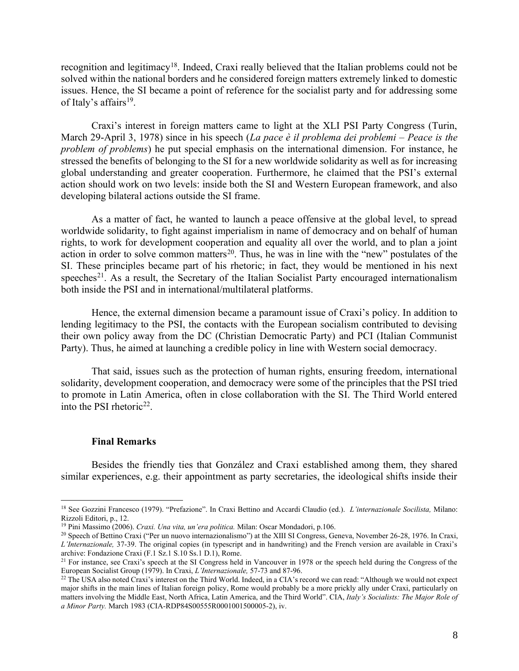recognition and legitimacy<sup>18</sup>. Indeed, Craxi really believed that the Italian problems could not be solved within the national borders and he considered foreign matters extremely linked to domestic issues. Hence, the SI became a point of reference for the socialist party and for addressing some of Italy's affairs<sup>19</sup>.

Craxi's interest in foreign matters came to light at the XLI PSI Party Congress (Turin, March 29-April 3, 1978) since in his speech (*La pace è il problema dei problemi* – *Peace is the problem of problems*) he put special emphasis on the international dimension. For instance, he stressed the benefits of belonging to the SI for a new worldwide solidarity as well as for increasing global understanding and greater cooperation. Furthermore, he claimed that the PSI's external action should work on two levels: inside both the SI and Western European framework, and also developing bilateral actions outside the SI frame.

As a matter of fact, he wanted to launch a peace offensive at the global level, to spread worldwide solidarity, to fight against imperialism in name of democracy and on behalf of human rights, to work for development cooperation and equality all over the world, and to plan a joint action in order to solve common matters<sup>20</sup>. Thus, he was in line with the "new" postulates of the SI. These principles became part of his rhetoric; in fact, they would be mentioned in his next speeches<sup>21</sup>. As a result, the Secretary of the Italian Socialist Party encouraged internationalism both inside the PSI and in international/multilateral platforms.

Hence, the external dimension became a paramount issue of Craxi's policy. In addition to lending legitimacy to the PSI, the contacts with the European socialism contributed to devising their own policy away from the DC (Christian Democratic Party) and PCI (Italian Communist Party). Thus, he aimed at launching a credible policy in line with Western social democracy.

That said, issues such as the protection of human rights, ensuring freedom, international solidarity, development cooperation, and democracy were some of the principles that the PSI tried to promote in Latin America, often in close collaboration with the SI. The Third World entered into the PSI rhetoric<sup>22</sup>.

#### **Final Remarks**

Besides the friendly ties that González and Craxi established among them, they shared similar experiences, e.g. their appointment as party secretaries, the ideological shifts inside their

<sup>18</sup> See Gozzini Francesco (1979). "Prefazione". In Craxi Bettino and Accardi Claudio (ed.). *L'internazionale Socilista,* Milano: Rizzoli Editori, p., 12.

<sup>19</sup> Pini Massimo (2006). *Craxi. Una vita, un'era politica.* Milan: Oscar Mondadori, p.106.

<sup>20</sup> Speech of Bettino Craxi ("Per un nuovo internazionalismo") at the XIII SI Congress, Geneva, November 26-28, 1976. In Craxi, *L'Internazionale,* 37-39. The original copies (in typescript and in handwriting) and the French version are available in Craxi's archive: Fondazione Craxi (F.1 Sz.1 S.10 Ss.1 D.1), Rome.

<sup>&</sup>lt;sup>21</sup> For instance, see Craxi's speech at the SI Congress held in Vancouver in 1978 or the speech held during the Congress of the European Socialist Group (1979). In Craxi, *L'Internazionale,* 57-73 and 87-96.

 $^{22}$  The USA also noted Craxi's interest on the Third World. Indeed, in a CIA's record we can read: "Although we would not expect major shifts in the main lines of Italian foreign policy, Rome would probably be a more prickly ally under Craxi, particularly on matters involving the Middle East, North Africa, Latin America, and the Third World". CIA, *Italy's Socialists: The Major Role of a Minor Party.* March 1983 (CIA-RDP84S00555R0001001500005-2), iv.